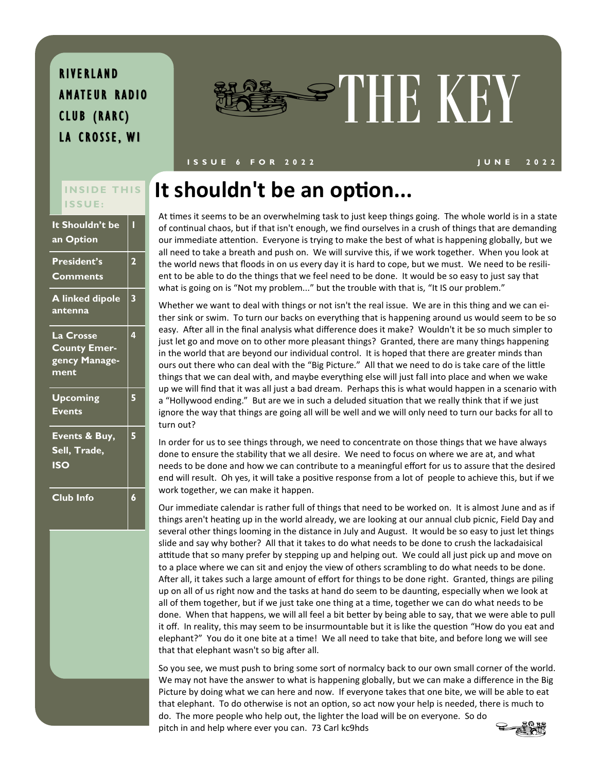AMATEUR RADIO CLUB (RARC) LA CROSSE, WI



#### **I S S U E 6 F O R 2 0 2 2 J U N E 2022**

# **I S S U E :**

| <u>It Shouldn't be</u><br>an Option                              | Π                       |
|------------------------------------------------------------------|-------------------------|
| <b>President's</b><br><b>Comments</b>                            | $\overline{\mathbf{2}}$ |
| <b>A linked dipole</b><br>antenna                                | 3                       |
| <b>La Crosse</b><br><b>County Emer-</b><br>gency Manage-<br>ment | 4                       |
| <b>Upcoming</b><br><b>Events</b>                                 | 5                       |
| Events & Buy,<br>Sell, Trade,<br><b>ISO</b>                      | 5                       |
| Club Info                                                        | 6                       |

## **INSIDE THIS It shouldn't be an option...**

At times it seems to be an overwhelming task to just keep things going. The whole world is in a state of continual chaos, but if that isn't enough, we find ourselves in a crush of things that are demanding our immediate attention. Everyone is trying to make the best of what is happening globally, but we all need to take a breath and push on. We will survive this, if we work together. When you look at the world news that floods in on us every day it is hard to cope, but we must. We need to be resilient to be able to do the things that we feel need to be done. It would be so easy to just say that what is going on is "Not my problem..." but the trouble with that is, "It IS our problem."

Whether we want to deal with things or not isn't the real issue. We are in this thing and we can either sink or swim. To turn our backs on everything that is happening around us would seem to be so easy. After all in the final analysis what difference does it make? Wouldn't it be so much simpler to just let go and move on to other more pleasant things? Granted, there are many things happening in the world that are beyond our individual control. It is hoped that there are greater minds than ours out there who can deal with the "Big Picture." All that we need to do is take care of the little things that we can deal with, and maybe everything else will just fall into place and when we wake up we will find that it was all just a bad dream. Perhaps this is what would happen in a scenario with a "Hollywood ending." But are we in such a deluded situation that we really think that if we just ignore the way that things are going all will be well and we will only need to turn our backs for all to turn out?

In order for us to see things through, we need to concentrate on those things that we have always done to ensure the stability that we all desire. We need to focus on where we are at, and what needs to be done and how we can contribute to a meaningful effort for us to assure that the desired end will result. Oh yes, it will take a positive response from a lot of people to achieve this, but if we work together, we can make it happen.

Our immediate calendar is rather full of things that need to be worked on. It is almost June and as if things aren't heating up in the world already, we are looking at our annual club picnic, Field Day and several other things looming in the distance in July and August. It would be so easy to just let things slide and say why bother? All that it takes to do what needs to be done to crush the lackadaisical attitude that so many prefer by stepping up and helping out. We could all just pick up and move on to a place where we can sit and enjoy the view of others scrambling to do what needs to be done. After all, it takes such a large amount of effort for things to be done right. Granted, things are piling up on all of us right now and the tasks at hand do seem to be daunting, especially when we look at all of them together, but if we just take one thing at a time, together we can do what needs to be done. When that happens, we will all feel a bit better by being able to say, that we were able to pull it off. In reality, this may seem to be insurmountable but it is like the question "How do you eat and elephant?" You do it one bite at a time! We all need to take that bite, and before long we will see that that elephant wasn't so big after all.

So you see, we must push to bring some sort of normalcy back to our own small corner of the world. We may not have the answer to what is happening globally, but we can make a difference in the Big Picture by doing what we can here and now. If everyone takes that one bite, we will be able to eat that elephant. To do otherwise is not an option, so act now your help is needed, there is much to do. The more people who help out, the lighter the load will be on everyone. So do pitch in and help where ever you can. 73 Carl kc9hds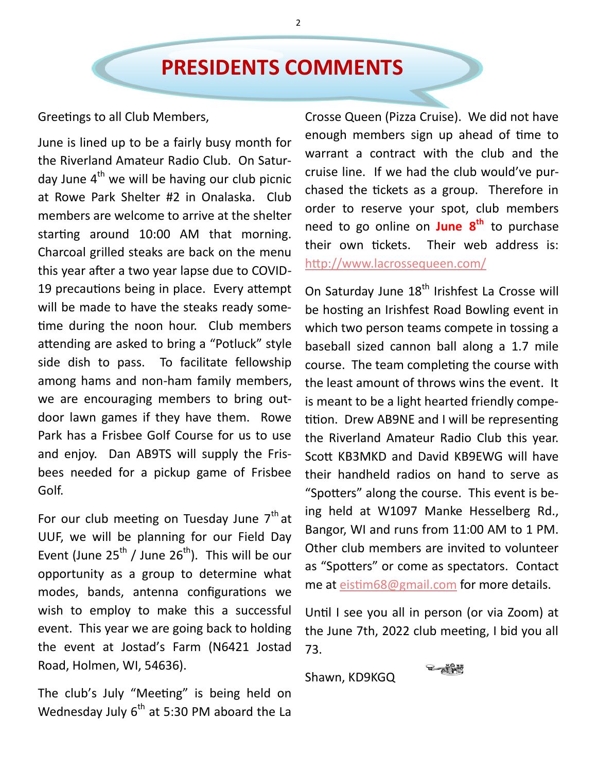## **PRESIDENTS COMMENTS**

Greetings to all Club Members,

June is lined up to be a fairly busy month for the Riverland Amateur Radio Club. On Saturday June  $4<sup>th</sup>$  we will be having our club picnic at Rowe Park Shelter #2 in Onalaska. Club members are welcome to arrive at the shelter starting around 10:00 AM that morning. Charcoal grilled steaks are back on the menu this year after a two year lapse due to COVID-19 precautions being in place. Every attempt will be made to have the steaks ready sometime during the noon hour. Club members attending are asked to bring a "Potluck" style side dish to pass. To facilitate fellowship among hams and non-ham family members, we are encouraging members to bring outdoor lawn games if they have them. Rowe Park has a Frisbee Golf Course for us to use and enjoy. Dan AB9TS will supply the Frisbees needed for a pickup game of Frisbee Golf.

For our club meeting on Tuesday June  $7<sup>th</sup>$  at UUF, we will be planning for our Field Day Event (June  $25^{th}$  / June  $26^{th}$ ). This will be our opportunity as a group to determine what modes, bands, antenna configurations we wish to employ to make this a successful event. This year we are going back to holding the event at Jostad's Farm (N6421 Jostad Road, Holmen, WI, 54636).

The club's July "Meeting" is being held on Wednesday July  $6<sup>th</sup>$  at 5:30 PM aboard the La Crosse Queen (Pizza Cruise). We did not have enough members sign up ahead of time to warrant a contract with the club and the cruise line. If we had the club would've purchased the tickets as a group. Therefore in order to reserve your spot, club members need to go online on **June 8th** to purchase their own tickets. Their web address is: <http://www.lacrossequeen.com/>

On Saturday June 18<sup>th</sup> Irishfest La Crosse will be hosting an Irishfest Road Bowling event in which two person teams compete in tossing a baseball sized cannon ball along a 1.7 mile course. The team completing the course with the least amount of throws wins the event. It is meant to be a light hearted friendly competition. Drew AB9NE and I will be representing the Riverland Amateur Radio Club this year. Scott KB3MKD and David KB9EWG will have their handheld radios on hand to serve as "Spotters" along the course. This event is being held at W1097 Manke Hesselberg Rd., Bangor, WI and runs from 11:00 AM to 1 PM. Other club members are invited to volunteer as "Spotters" or come as spectators. Contact me at [eistim68@gmail.com](mailto:eistim68@gmail.com) for more details.

Until I see you all in person (or via Zoom) at the June 7th, 2022 club meeting, I bid you all 73.

Shawn, KD9KGQ

2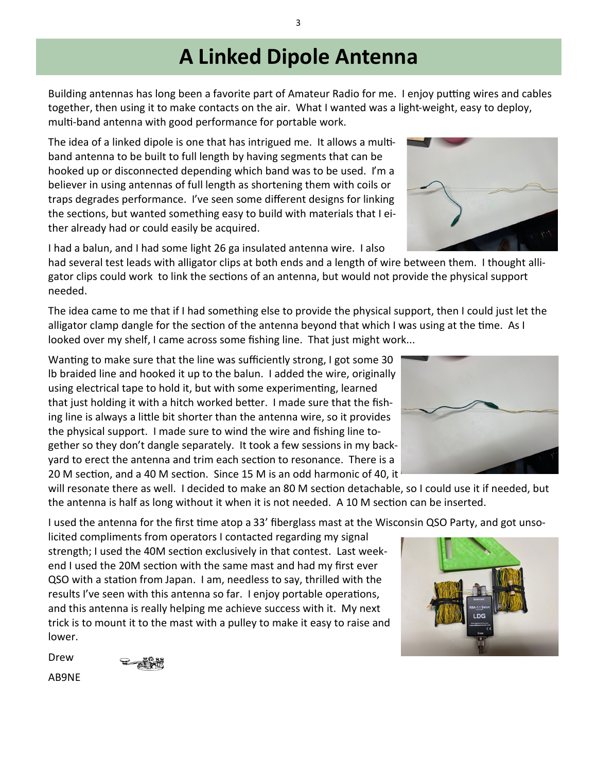## **A Linked Dipole Antenna**

Building antennas has long been a favorite part of Amateur Radio for me. I enjoy putting wires and cables together, then using it to make contacts on the air. What I wanted was a light-weight, easy to deploy, multi-band antenna with good performance for portable work.

The idea of a linked dipole is one that has intrigued me. It allows a multiband antenna to be built to full length by having segments that can be hooked up or disconnected depending which band was to be used. I'm a believer in using antennas of full length as shortening them with coils or traps degrades performance. I've seen some different designs for linking the sections, but wanted something easy to build with materials that I either already had or could easily be acquired.

I had a balun, and I had some light 26 ga insulated antenna wire. I also

had several test leads with alligator clips at both ends and a length of wire between them. I thought alligator clips could work to link the sections of an antenna, but would not provide the physical support needed.

The idea came to me that if I had something else to provide the physical support, then I could just let the alligator clamp dangle for the section of the antenna beyond that which I was using at the time. As I looked over my shelf, I came across some fishing line. That just might work...

Wanting to make sure that the line was sufficiently strong, I got some 30 lb braided line and hooked it up to the balun. I added the wire, originally using electrical tape to hold it, but with some experimenting, learned that just holding it with a hitch worked better. I made sure that the fishing line is always a little bit shorter than the antenna wire, so it provides the physical support. I made sure to wind the wire and fishing line together so they don't dangle separately. It took a few sessions in my backyard to erect the antenna and trim each section to resonance. There is a 20 M section, and a 40 M section. Since 15 M is an odd harmonic of 40, it  $^1$ 

will resonate there as well. I decided to make an 80 M section detachable, so I could use it if needed, but the antenna is half as long without it when it is not needed. A 10 M section can be inserted.

I used the antenna for the first time atop a 33' fiberglass mast at the Wisconsin QSO Party, and got unso-

licited compliments from operators I contacted regarding my signal strength; I used the 40M section exclusively in that contest. Last weekend I used the 20M section with the same mast and had my first ever QSO with a station from Japan. I am, needless to say, thrilled with the results I've seen with this antenna so far. I enjoy portable operations, and this antenna is really helping me achieve success with it. My next trick is to mount it to the mast with a pulley to make it easy to raise and lower.

Drew



AB9NE





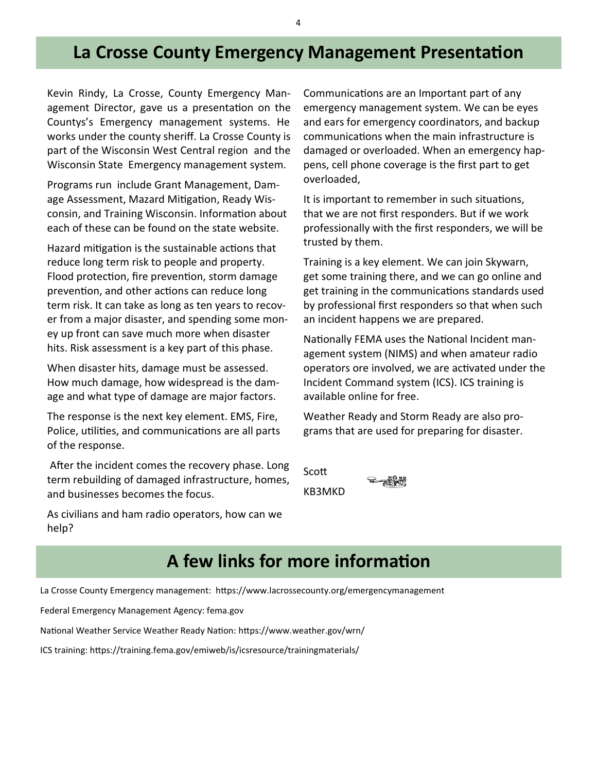### **La Crosse County Emergency Management Presentation**

Kevin Rindy, La Crosse, County Emergency Management Director, gave us a presentation on the Countys's Emergency management systems. He works under the county sheriff. La Crosse County is part of the Wisconsin West Central region and the Wisconsin State Emergency management system.

Programs run include Grant Management, Damage Assessment, Mazard Mitigation, Ready Wisconsin, and Training Wisconsin. Information about each of these can be found on the state website.

Hazard mitigation is the sustainable actions that reduce long term risk to people and property. Flood protection, fire prevention, storm damage prevention, and other actions can reduce long term risk. It can take as long as ten years to recover from a major disaster, and spending some money up front can save much more when disaster hits. Risk assessment is a key part of this phase.

When disaster hits, damage must be assessed. How much damage, how widespread is the damage and what type of damage are major factors.

The response is the next key element. EMS, Fire, Police, utilities, and communications are all parts of the response.

After the incident comes the recovery phase. Long term rebuilding of damaged infrastructure, homes, and businesses becomes the focus.

Communications are an Important part of any emergency management system. We can be eyes and ears for emergency coordinators, and backup communications when the main infrastructure is damaged or overloaded. When an emergency happens, cell phone coverage is the first part to get overloaded,

It is important to remember in such situations, that we are not first responders. But if we work professionally with the first responders, we will be trusted by them.

Training is a key element. We can join Skywarn, get some training there, and we can go online and get training in the communications standards used by professional first responders so that when such an incident happens we are prepared.

Nationally FEMA uses the National Incident management system (NIMS) and when amateur radio operators ore involved, we are activated under the Incident Command system (ICS). ICS training is available online for free.

Weather Ready and Storm Ready are also programs that are used for preparing for disaster.

Scott

KB3MKD

As civilians and ham radio operators, how can we help?

#### **A few links for more information**

La Crosse County Emergency management: https://www.lacrossecounty.org/emergencymanagement

Federal Emergency Management Agency: fema.gov

National Weather Service Weather Ready Nation: https://www.weather.gov/wrn/

ICS training: https://training.fema.gov/emiweb/is/icsresource/trainingmaterials/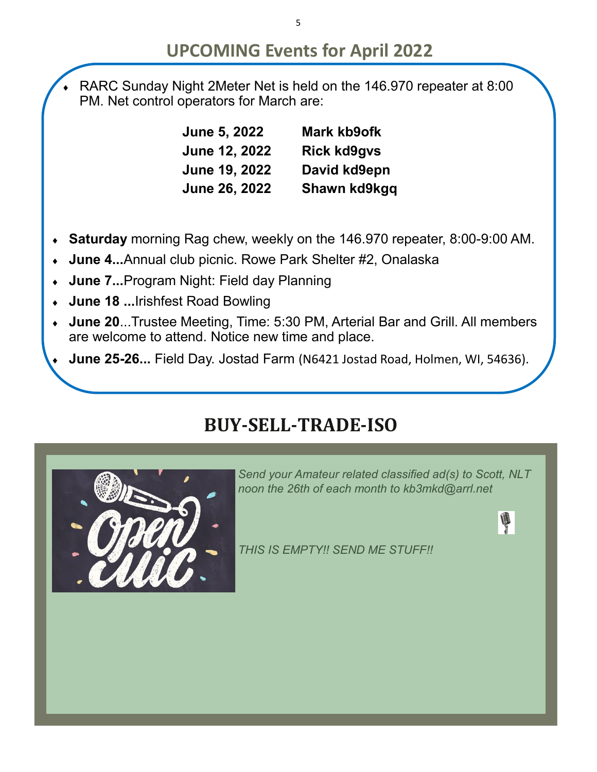### **UPCOMING Events for April 2022**

 RARC Sunday Night 2Meter Net is held on the 146.970 repeater at 8:00 PM. Net control operators for March are:

> **June 5, 2022 Mark kb9ofk June 12, 2022 Rick kd9gvs June 19, 2022 David kd9epn June 26, 2022 Shawn kd9kgq**

- **Saturday** morning Rag chew, weekly on the 146.970 repeater, 8:00-9:00 AM.
- **June 4...**Annual club picnic. Rowe Park Shelter #2, Onalaska
- **June 7...**Program Night: Field day Planning
- **June 18 ...**Irishfest Road Bowling
- **June 20**...Trustee Meeting, Time: 5:30 PM, Arterial Bar and Grill. All members are welcome to attend. Notice new time and place.
- **June 25-26...** Field Day. Jostad Farm (N6421 Jostad Road, Holmen, WI, 54636).

## **BUY-SELL-TRADE-ISO**



*Send your Amateur related classified ad(s) to Scott, NLT noon the 26th of each month to kb3mkd@arrl.net*

Į

*THIS IS EMPTY!! SEND ME STUFF!!*